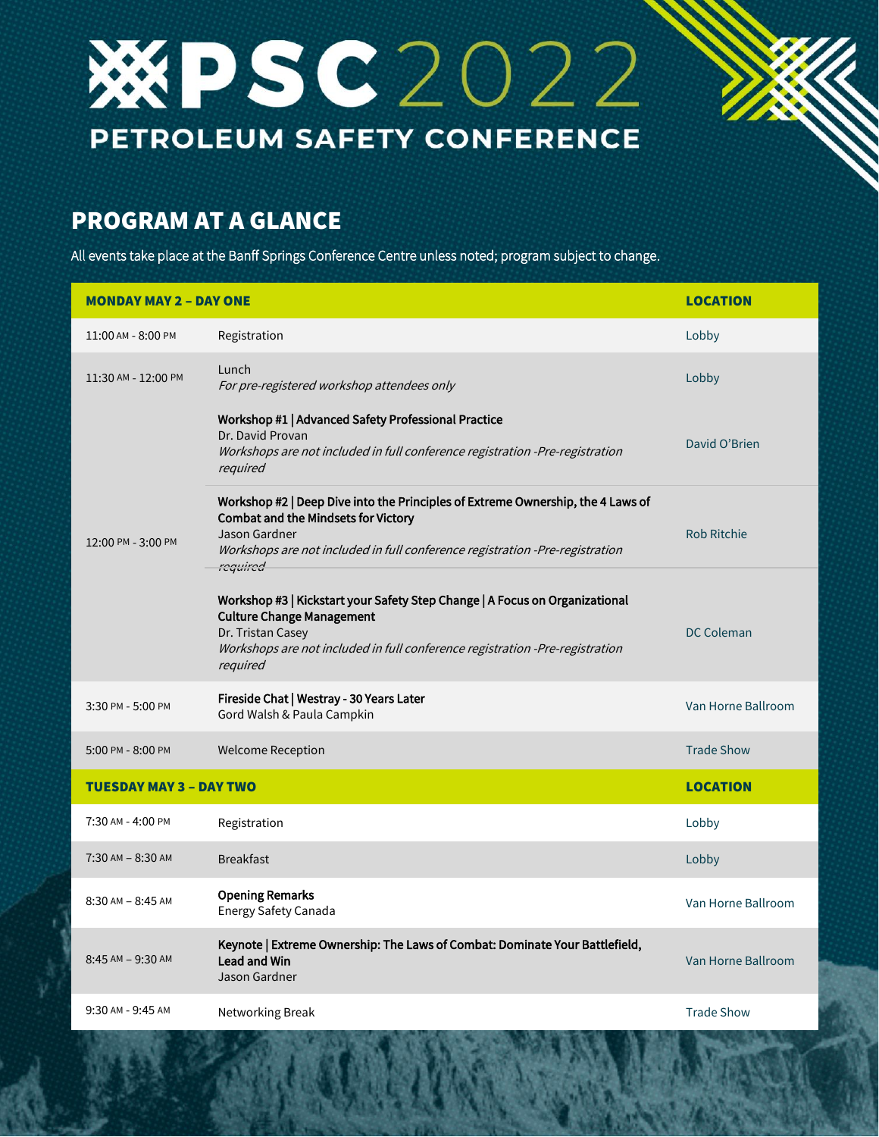## **WESC2022** PETROLEUM SAFETY CONFERENCE

## PROGRAM AT A GLANCE

All events take place at the Banff Springs Conference Centre unless noted; program subject to change.

| <b>MONDAY MAY 2 - DAY ONE</b>  |                                                                                                                                                                                                                                            | <b>LOCATION</b>    |
|--------------------------------|--------------------------------------------------------------------------------------------------------------------------------------------------------------------------------------------------------------------------------------------|--------------------|
| 11:00 AM - 8:00 PM             | Registration                                                                                                                                                                                                                               | Lobby              |
| 11:30 AM - 12:00 PM            | Lunch<br>For pre-registered workshop attendees only                                                                                                                                                                                        | Lobby              |
| 12:00 PM - 3:00 PM             | Workshop #1   Advanced Safety Professional Practice<br>Dr. David Provan<br>Workshops are not included in full conference registration -Pre-registration<br>required                                                                        | David O'Brien      |
|                                | Workshop #2   Deep Dive into the Principles of Extreme Ownership, the 4 Laws of<br><b>Combat and the Mindsets for Victory</b><br>Jason Gardner<br>Workshops are not included in full conference registration -Pre-registration<br>required | <b>Rob Ritchie</b> |
|                                | Workshop #3   Kickstart your Safety Step Change   A Focus on Organizational<br><b>Culture Change Management</b><br>Dr. Tristan Casey<br>Workshops are not included in full conference registration -Pre-registration<br>required           | <b>DC Coleman</b>  |
| 3:30 PM - 5:00 PM              | Fireside Chat   Westray - 30 Years Later<br>Gord Walsh & Paula Campkin                                                                                                                                                                     | Van Horne Ballroom |
| 5:00 PM - 8:00 PM              | <b>Welcome Reception</b>                                                                                                                                                                                                                   | <b>Trade Show</b>  |
| <b>TUESDAY MAY 3 - DAY TWO</b> |                                                                                                                                                                                                                                            | <b>LOCATION</b>    |
| 7:30 AM - 4:00 PM              | Registration                                                                                                                                                                                                                               | Lobby              |
| $7:30$ AM $- 8:30$ AM          | <b>Breakfast</b>                                                                                                                                                                                                                           | Lobby              |
| $8:30$ AM $- 8:45$ AM          | <b>Opening Remarks</b><br>Energy Safety Canada                                                                                                                                                                                             | Van Horne Ballroom |
| 8:45 AM - 9:30 AM              | Keynote   Extreme Ownership: The Laws of Combat: Dominate Your Battlefield,<br><b>Lead and Win</b><br>Jason Gardner                                                                                                                        | Van Horne Ballroom |
| 9:30 AM - 9:45 AM              | Networking Break                                                                                                                                                                                                                           | <b>Trade Show</b>  |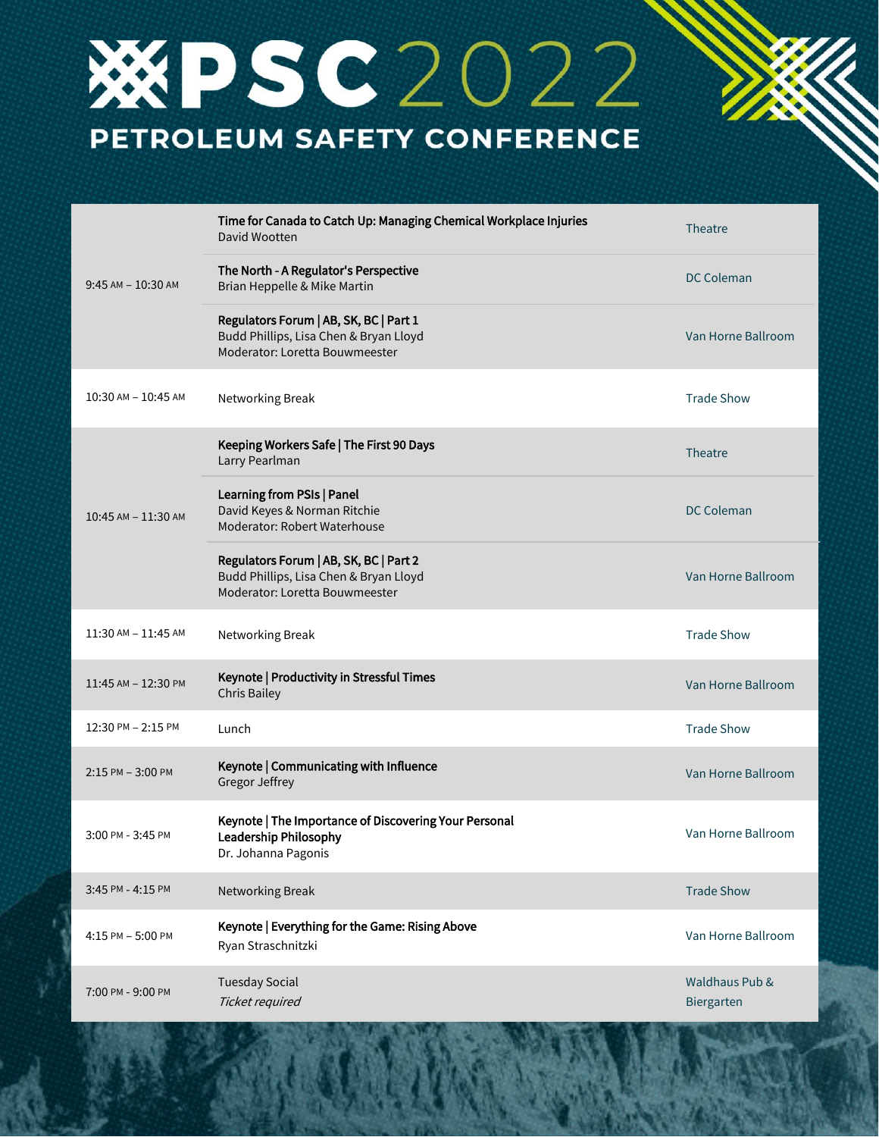## **WESC2022** PETROLEUM SAFETY CONFERENCE

| $9:45$ AM $-10:30$ AM   | Time for Canada to Catch Up: Managing Chemical Workplace Injuries<br>David Wootten                                 | Theatre                      |
|-------------------------|--------------------------------------------------------------------------------------------------------------------|------------------------------|
|                         | The North - A Regulator's Perspective<br>Brian Heppelle & Mike Martin                                              | <b>DC Coleman</b>            |
|                         | Regulators Forum   AB, SK, BC   Part 1<br>Budd Phillips, Lisa Chen & Bryan Lloyd<br>Moderator: Loretta Bouwmeester | Van Horne Ballroom           |
| 10:30 AM - 10:45 AM     | Networking Break                                                                                                   | <b>Trade Show</b>            |
| $10:45$ AM $- 11:30$ AM | Keeping Workers Safe   The First 90 Days<br>Larry Pearlman                                                         | Theatre                      |
|                         | Learning from PSIs   Panel<br>David Keyes & Norman Ritchie<br>Moderator: Robert Waterhouse                         | <b>DC Coleman</b>            |
|                         | Regulators Forum   AB, SK, BC   Part 2<br>Budd Phillips, Lisa Chen & Bryan Lloyd<br>Moderator: Loretta Bouwmeester | Van Horne Ballroom           |
| 11:30 AM - 11:45 AM     | Networking Break                                                                                                   | <b>Trade Show</b>            |
| 11:45 AM - 12:30 PM     | Keynote   Productivity in Stressful Times<br><b>Chris Bailey</b>                                                   | Van Horne Ballroom           |
| 12:30 PM - 2:15 PM      | Lunch                                                                                                              | <b>Trade Show</b>            |
| 2:15 PM - 3:00 PM       | Keynote   Communicating with Influence<br><b>Gregor Jeffrey</b>                                                    | Van Horne Ballroom           |
| 3:00 PM - 3:45 PM       | Keynote   The Importance of Discovering Your Personal<br>Leadership Philosophy<br>Dr. Johanna Pagonis              | Van Horne Ballroom           |
| 3:45 PM - 4:15 PM       | <b>Networking Break</b>                                                                                            | <b>Trade Show</b>            |
| 4:15 PM - 5:00 PM       | Keynote   Everything for the Game: Rising Above<br>Ryan Straschnitzki                                              | Van Horne Ballroom           |
| 7:00 PM - 9:00 PM       | <b>Tuesday Social</b><br>Ticket required                                                                           | Waldhaus Pub &<br>Biergarten |